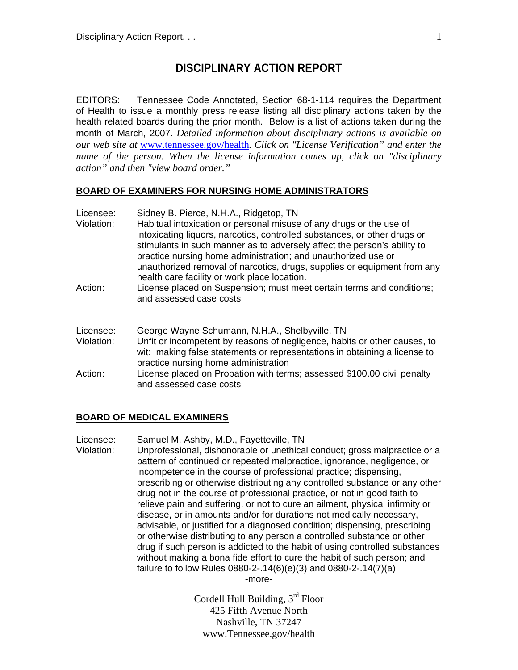## **DISCIPLINARY ACTION REPORT**

EDITORS: Tennessee Code Annotated, Section 68-1-114 requires the Department of Health to issue a monthly press release listing all disciplinary actions taken by the health related boards during the prior month. Below is a list of actions taken during the month of March, 2007. *Detailed information about disciplinary actions is available on our web site at* www.tennessee.gov/health*. Click on "License Verification" and enter the name of the person. When the license information comes up, click on "disciplinary action" and then "view board order."* 

### **BOARD OF EXAMINERS FOR NURSING HOME ADMINISTRATORS**

| Licensee:<br>Violation:<br>Action: | Sidney B. Pierce, N.H.A., Ridgetop, TN<br>Habitual intoxication or personal misuse of any drugs or the use of<br>intoxicating liquors, narcotics, controlled substances, or other drugs or<br>stimulants in such manner as to adversely affect the person's ability to<br>practice nursing home administration; and unauthorized use or<br>unauthorized removal of narcotics, drugs, supplies or equipment from any<br>health care facility or work place location.<br>License placed on Suspension; must meet certain terms and conditions;<br>and assessed case costs |
|------------------------------------|-------------------------------------------------------------------------------------------------------------------------------------------------------------------------------------------------------------------------------------------------------------------------------------------------------------------------------------------------------------------------------------------------------------------------------------------------------------------------------------------------------------------------------------------------------------------------|
|                                    |                                                                                                                                                                                                                                                                                                                                                                                                                                                                                                                                                                         |
| Violation:                         | Unfit or incompetent by reasons of negligence, habits or other causes, to<br>wit: making false statements or representations in obtaining a license to<br>practice nursing home administration                                                                                                                                                                                                                                                                                                                                                                          |
| Action:                            | License placed on Probation with terms; assessed \$100.00 civil penalty<br>and assessed case costs                                                                                                                                                                                                                                                                                                                                                                                                                                                                      |

#### **BOARD OF MEDICAL EXAMINERS**

Licensee: Samuel M. Ashby, M.D., Fayetteville, TN Violation: Unprofessional, dishonorable or unethical conduct; gross malpractice or a pattern of continued or repeated malpractice, ignorance, negligence, or incompetence in the course of professional practice; dispensing, prescribing or otherwise distributing any controlled substance or any other drug not in the course of professional practice, or not in good faith to relieve pain and suffering, or not to cure an ailment, physical infirmity or disease, or in amounts and/or for durations not medically necessary, advisable, or justified for a diagnosed condition; dispensing, prescribing or otherwise distributing to any person a controlled substance or other drug if such person is addicted to the habit of using controlled substances without making a bona fide effort to cure the habit of such person; and failure to follow Rules 0880-2-.14(6)(e)(3) and 0880-2-.14(7)(a)

-more-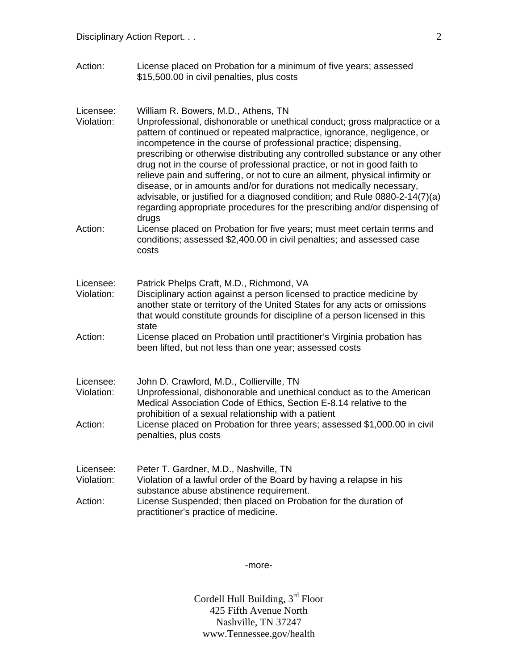Action: License placed on Probation for a minimum of five years; assessed \$15,500.00 in civil penalties, plus costs

| Licensee:<br>Violation: | William R. Bowers, M.D., Athens, TN<br>Unprofessional, dishonorable or unethical conduct; gross malpractice or a<br>pattern of continued or repeated malpractice, ignorance, negligence, or<br>incompetence in the course of professional practice; dispensing,<br>prescribing or otherwise distributing any controlled substance or any other<br>drug not in the course of professional practice, or not in good faith to<br>relieve pain and suffering, or not to cure an ailment, physical infirmity or<br>disease, or in amounts and/or for durations not medically necessary,<br>advisable, or justified for a diagnosed condition; and Rule 0880-2-14(7)(a)<br>regarding appropriate procedures for the prescribing and/or dispensing of |
|-------------------------|------------------------------------------------------------------------------------------------------------------------------------------------------------------------------------------------------------------------------------------------------------------------------------------------------------------------------------------------------------------------------------------------------------------------------------------------------------------------------------------------------------------------------------------------------------------------------------------------------------------------------------------------------------------------------------------------------------------------------------------------|
| Action:                 | drugs<br>License placed on Probation for five years; must meet certain terms and<br>conditions; assessed \$2,400.00 in civil penalties; and assessed case<br>costs                                                                                                                                                                                                                                                                                                                                                                                                                                                                                                                                                                             |
| Licensee:<br>Violation: | Patrick Phelps Craft, M.D., Richmond, VA<br>Disciplinary action against a person licensed to practice medicine by<br>another state or territory of the United States for any acts or omissions<br>that would constitute grounds for discipline of a person licensed in this<br>state                                                                                                                                                                                                                                                                                                                                                                                                                                                           |
| Action:                 | License placed on Probation until practitioner's Virginia probation has<br>been lifted, but not less than one year; assessed costs                                                                                                                                                                                                                                                                                                                                                                                                                                                                                                                                                                                                             |
| Licensee:<br>Violation: | John D. Crawford, M.D., Collierville, TN<br>Unprofessional, dishonorable and unethical conduct as to the American<br>Medical Association Code of Ethics, Section E-8.14 relative to the<br>prohibition of a sexual relationship with a patient                                                                                                                                                                                                                                                                                                                                                                                                                                                                                                 |
| Action:                 | License placed on Probation for three years; assessed \$1,000.00 in civil<br>penalties, plus costs                                                                                                                                                                                                                                                                                                                                                                                                                                                                                                                                                                                                                                             |
| Licensee:<br>Violation: | Peter T. Gardner, M.D., Nashville, TN<br>Violation of a lawful order of the Board by having a relapse in his<br>substance abuse abstinence requirement.                                                                                                                                                                                                                                                                                                                                                                                                                                                                                                                                                                                        |
| Action:                 | License Suspended; then placed on Probation for the duration of<br>practitioner's practice of medicine.                                                                                                                                                                                                                                                                                                                                                                                                                                                                                                                                                                                                                                        |

-more-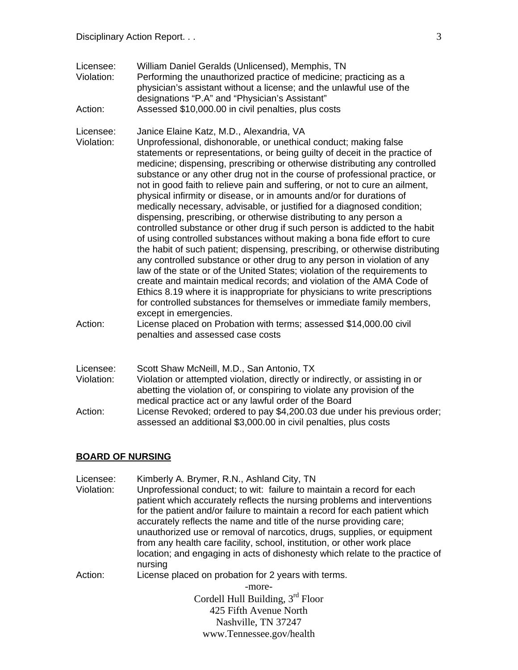Licensee: William Daniel Geralds (Unlicensed), Memphis, TN Violation: Performing the unauthorized practice of medicine; practicing as a physician's assistant without a license; and the unlawful use of the designations "P.A" and "Physician's Assistant" Action: Assessed \$10,000.00 in civil penalties, plus costs

Licensee: Janice Elaine Katz, M.D., Alexandria, VA<br>Violation: Unprofessional, dishonorable, or unethica

- Unprofessional, dishonorable, or unethical conduct; making false statements or representations, or being guilty of deceit in the practice of medicine; dispensing, prescribing or otherwise distributing any controlled substance or any other drug not in the course of professional practice, or not in good faith to relieve pain and suffering, or not to cure an ailment, physical infirmity or disease, or in amounts and/or for durations of medically necessary, advisable, or justified for a diagnosed condition; dispensing, prescribing, or otherwise distributing to any person a controlled substance or other drug if such person is addicted to the habit of using controlled substances without making a bona fide effort to cure the habit of such patient; dispensing, prescribing, or otherwise distributing any controlled substance or other drug to any person in violation of any law of the state or of the United States; violation of the requirements to create and maintain medical records; and violation of the AMA Code of Ethics 8.19 where it is inappropriate for physicians to write prescriptions for controlled substances for themselves or immediate family members, except in emergencies.
- Action: License placed on Probation with terms; assessed \$14,000.00 civil penalties and assessed case costs
- Licensee: Scott Shaw McNeill, M.D., San Antonio, TX Violation: Violation or attempted violation, directly or indirectly, or assisting in or abetting the violation of, or conspiring to violate any provision of the medical practice act or any lawful order of the Board Action: License Revoked; ordered to pay \$4,200.03 due under his previous order; assessed an additional \$3,000.00 in civil penalties, plus costs

#### **BOARD OF NURSING**

Cordell Hull Building, 3rd Floor 425 Fifth Avenue North Nashville, TN 37247 Licensee: Kimberly A. Brymer, R.N., Ashland City, TN Violation: Unprofessional conduct; to wit: failure to maintain a record for each patient which accurately reflects the nursing problems and interventions for the patient and/or failure to maintain a record for each patient which accurately reflects the name and title of the nurse providing care; unauthorized use or removal of narcotics, drugs, supplies, or equipment from any health care facility, school, institution, or other work place location; and engaging in acts of dishonesty which relate to the practice of nursing Action: License placed on probation for 2 years with terms. -more-

www.Tennessee.gov/health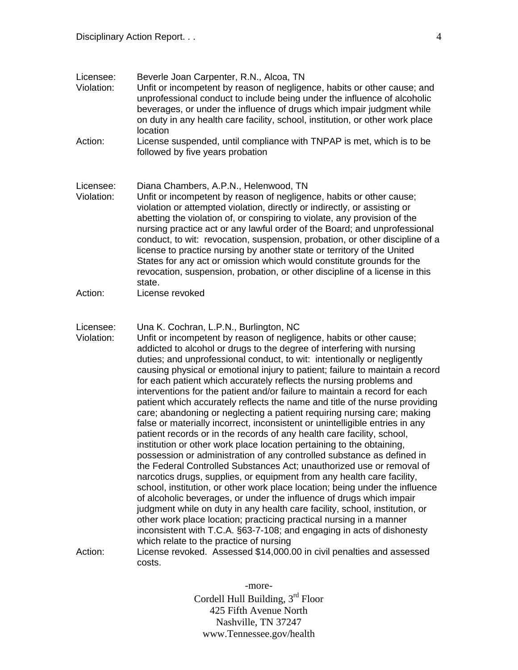| Licensee:<br>Violation:            | Beverle Joan Carpenter, R.N., Alcoa, TN<br>Unfit or incompetent by reason of negligence, habits or other cause; and<br>unprofessional conduct to include being under the influence of alcoholic<br>beverages, or under the influence of drugs which impair judgment while<br>on duty in any health care facility, school, institution, or other work place<br>location                                                                                                                                                                                                                                                                                                                                                                                                                                                                                                                                                                                                                                                                                                                                                                                                                                                                                                                                                                                                                                                                                                                                                                                                  |
|------------------------------------|-------------------------------------------------------------------------------------------------------------------------------------------------------------------------------------------------------------------------------------------------------------------------------------------------------------------------------------------------------------------------------------------------------------------------------------------------------------------------------------------------------------------------------------------------------------------------------------------------------------------------------------------------------------------------------------------------------------------------------------------------------------------------------------------------------------------------------------------------------------------------------------------------------------------------------------------------------------------------------------------------------------------------------------------------------------------------------------------------------------------------------------------------------------------------------------------------------------------------------------------------------------------------------------------------------------------------------------------------------------------------------------------------------------------------------------------------------------------------------------------------------------------------------------------------------------------------|
| Action:                            | License suspended, until compliance with TNPAP is met, which is to be<br>followed by five years probation                                                                                                                                                                                                                                                                                                                                                                                                                                                                                                                                                                                                                                                                                                                                                                                                                                                                                                                                                                                                                                                                                                                                                                                                                                                                                                                                                                                                                                                               |
| Licensee:<br>Violation:            | Diana Chambers, A.P.N., Helenwood, TN<br>Unfit or incompetent by reason of negligence, habits or other cause;<br>violation or attempted violation, directly or indirectly, or assisting or<br>abetting the violation of, or conspiring to violate, any provision of the<br>nursing practice act or any lawful order of the Board; and unprofessional<br>conduct, to wit: revocation, suspension, probation, or other discipline of a<br>license to practice nursing by another state or territory of the United<br>States for any act or omission which would constitute grounds for the<br>revocation, suspension, probation, or other discipline of a license in this<br>state.                                                                                                                                                                                                                                                                                                                                                                                                                                                                                                                                                                                                                                                                                                                                                                                                                                                                                       |
| Action:                            | License revoked                                                                                                                                                                                                                                                                                                                                                                                                                                                                                                                                                                                                                                                                                                                                                                                                                                                                                                                                                                                                                                                                                                                                                                                                                                                                                                                                                                                                                                                                                                                                                         |
| Licensee:<br>Violation:<br>Action: | Una K. Cochran, L.P.N., Burlington, NC<br>Unfit or incompetent by reason of negligence, habits or other cause;<br>addicted to alcohol or drugs to the degree of interfering with nursing<br>duties; and unprofessional conduct, to wit: intentionally or negligently<br>causing physical or emotional injury to patient; failure to maintain a record<br>for each patient which accurately reflects the nursing problems and<br>interventions for the patient and/or failure to maintain a record for each<br>patient which accurately reflects the name and title of the nurse providing<br>care; abandoning or neglecting a patient requiring nursing care; making<br>false or materially incorrect, inconsistent or unintelligible entries in any<br>patient records or in the records of any health care facility, school,<br>institution or other work place location pertaining to the obtaining,<br>possession or administration of any controlled substance as defined in<br>the Federal Controlled Substances Act; unauthorized use or removal of<br>narcotics drugs, supplies, or equipment from any health care facility,<br>school, institution, or other work place location; being under the influence<br>of alcoholic beverages, or under the influence of drugs which impair<br>judgment while on duty in any health care facility, school, institution, or<br>other work place location; practicing practical nursing in a manner<br>inconsistent with T.C.A. §63-7-108; and engaging in acts of dishonesty<br>which relate to the practice of nursing |
|                                    | License revoked. Assessed \$14,000.00 in civil penalties and assessed<br>costs.                                                                                                                                                                                                                                                                                                                                                                                                                                                                                                                                                                                                                                                                                                                                                                                                                                                                                                                                                                                                                                                                                                                                                                                                                                                                                                                                                                                                                                                                                         |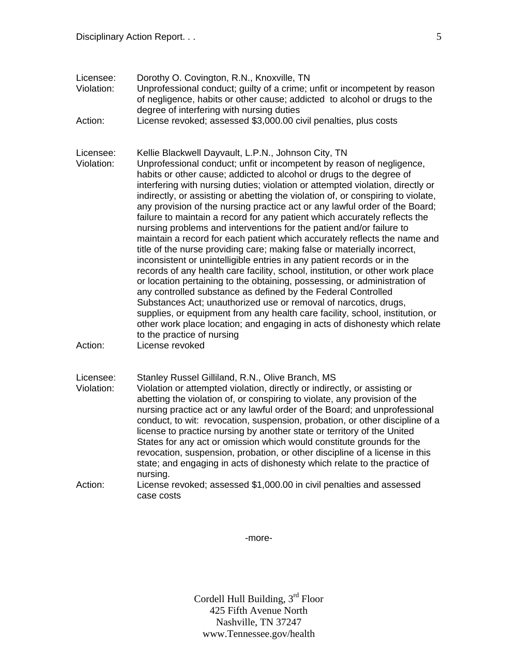- Licensee: Dorothy O. Covington, R.N., Knoxville, TN Violation: Unprofessional conduct; guilty of a crime; unfit or incompetent by reason of negligence, habits or other cause; addicted to alcohol or drugs to the degree of interfering with nursing duties
- Action: License revoked; assessed \$3,000.00 civil penalties, plus costs
- Licensee: Kellie Blackwell Dayvault, L.P.N., Johnson City, TN Violation: Unprofessional conduct; unfit or incompetent by reason of negligence, habits or other cause; addicted to alcohol or drugs to the degree of interfering with nursing duties; violation or attempted violation, directly or indirectly, or assisting or abetting the violation of, or conspiring to violate, any provision of the nursing practice act or any lawful order of the Board; failure to maintain a record for any patient which accurately reflects the nursing problems and interventions for the patient and/or failure to maintain a record for each patient which accurately reflects the name and title of the nurse providing care; making false or materially incorrect, inconsistent or unintelligible entries in any patient records or in the records of any health care facility, school, institution, or other work place or location pertaining to the obtaining, possessing, or administration of any controlled substance as defined by the Federal Controlled Substances Act; unauthorized use or removal of narcotics, drugs, supplies, or equipment from any health care facility, school, institution, or other work place location; and engaging in acts of dishonesty which relate to the practice of nursing
- Action: License revoked

Licensee: Stanley Russel Gilliland, R.N., Olive Branch, MS

- Violation: Violation or attempted violation, directly or indirectly, or assisting or abetting the violation of, or conspiring to violate, any provision of the nursing practice act or any lawful order of the Board; and unprofessional conduct, to wit: revocation, suspension, probation, or other discipline of a license to practice nursing by another state or territory of the United States for any act or omission which would constitute grounds for the revocation, suspension, probation, or other discipline of a license in this state; and engaging in acts of dishonesty which relate to the practice of nursing.
- Action: License revoked; assessed \$1,000.00 in civil penalties and assessed case costs

-more-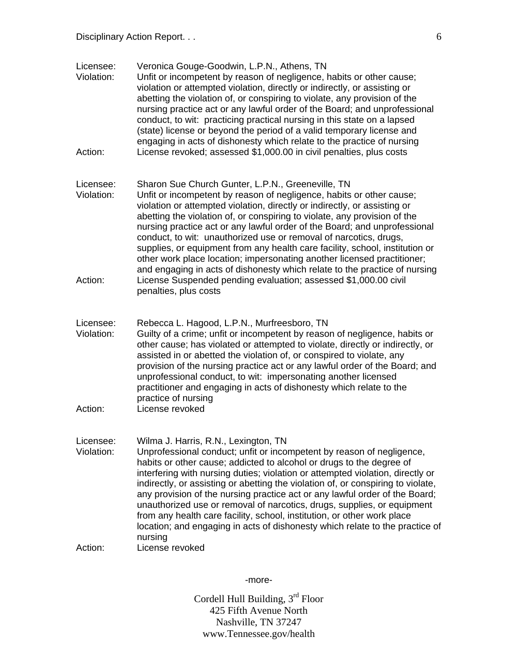| Licensee:<br>Violation: | Veronica Gouge-Goodwin, L.P.N., Athens, TN<br>Unfit or incompetent by reason of negligence, habits or other cause;<br>violation or attempted violation, directly or indirectly, or assisting or<br>abetting the violation of, or conspiring to violate, any provision of the<br>nursing practice act or any lawful order of the Board; and unprofessional<br>conduct, to wit: practicing practical nursing in this state on a lapsed<br>(state) license or beyond the period of a valid temporary license and<br>engaging in acts of dishonesty which relate to the practice of nursing                                                                                                     |
|-------------------------|---------------------------------------------------------------------------------------------------------------------------------------------------------------------------------------------------------------------------------------------------------------------------------------------------------------------------------------------------------------------------------------------------------------------------------------------------------------------------------------------------------------------------------------------------------------------------------------------------------------------------------------------------------------------------------------------|
| Action:                 | License revoked; assessed \$1,000.00 in civil penalties, plus costs                                                                                                                                                                                                                                                                                                                                                                                                                                                                                                                                                                                                                         |
| Licensee:<br>Violation: | Sharon Sue Church Gunter, L.P.N., Greeneville, TN<br>Unfit or incompetent by reason of negligence, habits or other cause;<br>violation or attempted violation, directly or indirectly, or assisting or<br>abetting the violation of, or conspiring to violate, any provision of the<br>nursing practice act or any lawful order of the Board; and unprofessional<br>conduct, to wit: unauthorized use or removal of narcotics, drugs,<br>supplies, or equipment from any health care facility, school, institution or<br>other work place location; impersonating another licensed practitioner;<br>and engaging in acts of dishonesty which relate to the practice of nursing              |
| Action:                 | License Suspended pending evaluation; assessed \$1,000.00 civil<br>penalties, plus costs                                                                                                                                                                                                                                                                                                                                                                                                                                                                                                                                                                                                    |
| Licensee:<br>Violation: | Rebecca L. Hagood, L.P.N., Murfreesboro, TN<br>Guilty of a crime; unfit or incompetent by reason of negligence, habits or<br>other cause; has violated or attempted to violate, directly or indirectly, or<br>assisted in or abetted the violation of, or conspired to violate, any<br>provision of the nursing practice act or any lawful order of the Board; and<br>unprofessional conduct, to wit: impersonating another licensed<br>practitioner and engaging in acts of dishonesty which relate to the<br>practice of nursing                                                                                                                                                          |
| Action:                 | License revoked                                                                                                                                                                                                                                                                                                                                                                                                                                                                                                                                                                                                                                                                             |
| Licensee:<br>Violation: | Wilma J. Harris, R.N., Lexington, TN<br>Unprofessional conduct; unfit or incompetent by reason of negligence,<br>habits or other cause; addicted to alcohol or drugs to the degree of<br>interfering with nursing duties; violation or attempted violation, directly or<br>indirectly, or assisting or abetting the violation of, or conspiring to violate,<br>any provision of the nursing practice act or any lawful order of the Board;<br>unauthorized use or removal of narcotics, drugs, supplies, or equipment<br>from any health care facility, school, institution, or other work place<br>location; and engaging in acts of dishonesty which relate to the practice of<br>nursing |
| Action:                 | License revoked                                                                                                                                                                                                                                                                                                                                                                                                                                                                                                                                                                                                                                                                             |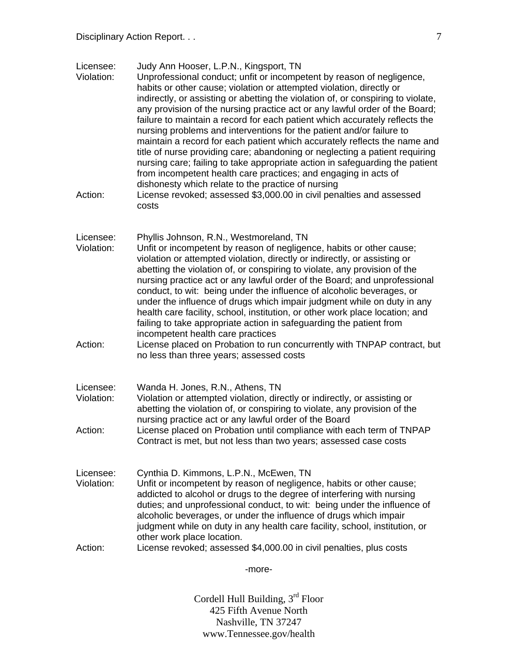| Licensee:<br>Violation:<br>Action: | Judy Ann Hooser, L.P.N., Kingsport, TN<br>Unprofessional conduct; unfit or incompetent by reason of negligence,<br>habits or other cause; violation or attempted violation, directly or<br>indirectly, or assisting or abetting the violation of, or conspiring to violate,<br>any provision of the nursing practice act or any lawful order of the Board;<br>failure to maintain a record for each patient which accurately reflects the<br>nursing problems and interventions for the patient and/or failure to<br>maintain a record for each patient which accurately reflects the name and<br>title of nurse providing care; abandoning or neglecting a patient requiring<br>nursing care; failing to take appropriate action in safeguarding the patient<br>from incompetent health care practices; and engaging in acts of<br>dishonesty which relate to the practice of nursing<br>License revoked; assessed \$3,000.00 in civil penalties and assessed<br>costs |
|------------------------------------|-------------------------------------------------------------------------------------------------------------------------------------------------------------------------------------------------------------------------------------------------------------------------------------------------------------------------------------------------------------------------------------------------------------------------------------------------------------------------------------------------------------------------------------------------------------------------------------------------------------------------------------------------------------------------------------------------------------------------------------------------------------------------------------------------------------------------------------------------------------------------------------------------------------------------------------------------------------------------|
|                                    |                                                                                                                                                                                                                                                                                                                                                                                                                                                                                                                                                                                                                                                                                                                                                                                                                                                                                                                                                                         |
| Licensee:<br>Violation:            | Phyllis Johnson, R.N., Westmoreland, TN<br>Unfit or incompetent by reason of negligence, habits or other cause;<br>violation or attempted violation, directly or indirectly, or assisting or<br>abetting the violation of, or conspiring to violate, any provision of the<br>nursing practice act or any lawful order of the Board; and unprofessional<br>conduct, to wit: being under the influence of alcoholic beverages, or<br>under the influence of drugs which impair judgment while on duty in any<br>health care facility, school, institution, or other work place location; and<br>failing to take appropriate action in safeguarding the patient from<br>incompetent health care practices                                                                                                                                                                                                                                                                  |
| Action:                            | License placed on Probation to run concurrently with TNPAP contract, but<br>no less than three years; assessed costs                                                                                                                                                                                                                                                                                                                                                                                                                                                                                                                                                                                                                                                                                                                                                                                                                                                    |
| Licensee:<br>Violation:            | Wanda H. Jones, R.N., Athens, TN<br>Violation or attempted violation, directly or indirectly, or assisting or<br>abetting the violation of, or conspiring to violate, any provision of the<br>nursing practice act or any lawful order of the Board                                                                                                                                                                                                                                                                                                                                                                                                                                                                                                                                                                                                                                                                                                                     |
| Action:                            | License placed on Probation until compliance with each term of TNPAP<br>Contract is met, but not less than two years; assessed case costs                                                                                                                                                                                                                                                                                                                                                                                                                                                                                                                                                                                                                                                                                                                                                                                                                               |
| Licensee:<br>Violation:            | Cynthia D. Kimmons, L.P.N., McEwen, TN<br>Unfit or incompetent by reason of negligence, habits or other cause;<br>addicted to alcohol or drugs to the degree of interfering with nursing<br>duties; and unprofessional conduct, to wit: being under the influence of<br>alcoholic beverages, or under the influence of drugs which impair<br>judgment while on duty in any health care facility, school, institution, or<br>other work place location.                                                                                                                                                                                                                                                                                                                                                                                                                                                                                                                  |
| Action:                            | License revoked; assessed \$4,000.00 in civil penalties, plus costs                                                                                                                                                                                                                                                                                                                                                                                                                                                                                                                                                                                                                                                                                                                                                                                                                                                                                                     |
|                                    | -more-                                                                                                                                                                                                                                                                                                                                                                                                                                                                                                                                                                                                                                                                                                                                                                                                                                                                                                                                                                  |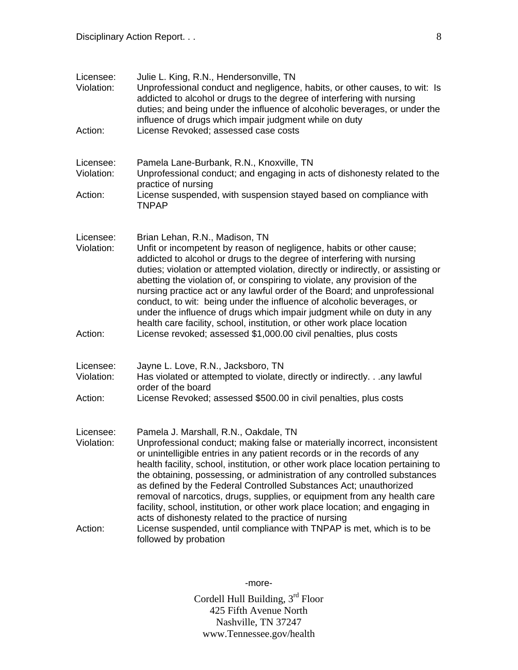| Licensee:<br>Violation: | Julie L. King, R.N., Hendersonville, TN<br>Unprofessional conduct and negligence, habits, or other causes, to wit: Is<br>addicted to alcohol or drugs to the degree of interfering with nursing<br>duties; and being under the influence of alcoholic beverages, or under the<br>influence of drugs which impair judgment while on duty                                                                                                                                                                                                                                                                                                                        |
|-------------------------|----------------------------------------------------------------------------------------------------------------------------------------------------------------------------------------------------------------------------------------------------------------------------------------------------------------------------------------------------------------------------------------------------------------------------------------------------------------------------------------------------------------------------------------------------------------------------------------------------------------------------------------------------------------|
| Action:                 | License Revoked; assessed case costs                                                                                                                                                                                                                                                                                                                                                                                                                                                                                                                                                                                                                           |
| Licensee:<br>Violation: | Pamela Lane-Burbank, R.N., Knoxville, TN<br>Unprofessional conduct; and engaging in acts of dishonesty related to the<br>practice of nursing                                                                                                                                                                                                                                                                                                                                                                                                                                                                                                                   |
| Action:                 | License suspended, with suspension stayed based on compliance with<br><b>TNPAP</b>                                                                                                                                                                                                                                                                                                                                                                                                                                                                                                                                                                             |
| Licensee:<br>Violation: | Brian Lehan, R.N., Madison, TN<br>Unfit or incompetent by reason of negligence, habits or other cause;<br>addicted to alcohol or drugs to the degree of interfering with nursing<br>duties; violation or attempted violation, directly or indirectly, or assisting or<br>abetting the violation of, or conspiring to violate, any provision of the<br>nursing practice act or any lawful order of the Board; and unprofessional<br>conduct, to wit: being under the influence of alcoholic beverages, or<br>under the influence of drugs which impair judgment while on duty in any<br>health care facility, school, institution, or other work place location |
| Action:                 | License revoked; assessed \$1,000.00 civil penalties, plus costs                                                                                                                                                                                                                                                                                                                                                                                                                                                                                                                                                                                               |
| Licensee:<br>Violation: | Jayne L. Love, R.N., Jacksboro, TN<br>Has violated or attempted to violate, directly or indirectly.any lawful<br>order of the board                                                                                                                                                                                                                                                                                                                                                                                                                                                                                                                            |
| Action:                 | License Revoked; assessed \$500.00 in civil penalties, plus costs                                                                                                                                                                                                                                                                                                                                                                                                                                                                                                                                                                                              |
| Licensee:<br>Violation: | Pamela J. Marshall, R.N., Oakdale, TN<br>Unprofessional conduct; making false or materially incorrect, inconsistent<br>or unintelligible entries in any patient records or in the records of any<br>health facility, school, institution, or other work place location pertaining to<br>the obtaining, possessing, or administration of any controlled substances<br>as defined by the Federal Controlled Substances Act; unauthorized<br>removal of narcotics, drugs, supplies, or equipment from any health care<br>facility, school, institution, or other work place location; and engaging in<br>acts of dishonesty related to the practice of nursing    |
| Action:                 | License suspended, until compliance with TNPAP is met, which is to be<br>followed by probation                                                                                                                                                                                                                                                                                                                                                                                                                                                                                                                                                                 |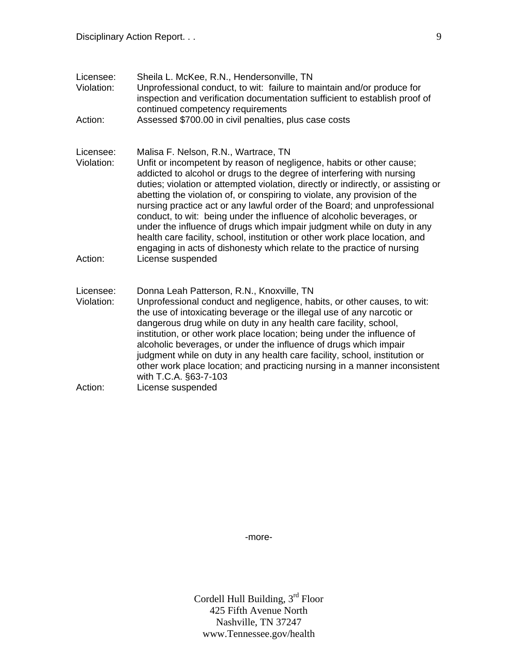| Licensee:<br>Violation: | Sheila L. McKee, R.N., Hendersonville, TN<br>Unprofessional conduct, to wit: failure to maintain and/or produce for<br>inspection and verification documentation sufficient to establish proof of<br>continued competency requirements                                                                                                                                                                                                                                                                                                                                                                                                                                                                                                             |
|-------------------------|----------------------------------------------------------------------------------------------------------------------------------------------------------------------------------------------------------------------------------------------------------------------------------------------------------------------------------------------------------------------------------------------------------------------------------------------------------------------------------------------------------------------------------------------------------------------------------------------------------------------------------------------------------------------------------------------------------------------------------------------------|
| Action:                 | Assessed \$700.00 in civil penalties, plus case costs                                                                                                                                                                                                                                                                                                                                                                                                                                                                                                                                                                                                                                                                                              |
| Licensee:<br>Violation: | Malisa F. Nelson, R.N., Wartrace, TN<br>Unfit or incompetent by reason of negligence, habits or other cause;<br>addicted to alcohol or drugs to the degree of interfering with nursing<br>duties; violation or attempted violation, directly or indirectly, or assisting or<br>abetting the violation of, or conspiring to violate, any provision of the<br>nursing practice act or any lawful order of the Board; and unprofessional<br>conduct, to wit: being under the influence of alcoholic beverages, or<br>under the influence of drugs which impair judgment while on duty in any<br>health care facility, school, institution or other work place location, and<br>engaging in acts of dishonesty which relate to the practice of nursing |
| Action:                 | License suspended                                                                                                                                                                                                                                                                                                                                                                                                                                                                                                                                                                                                                                                                                                                                  |
| Licensee:<br>Violation: | Donna Leah Patterson, R.N., Knoxville, TN<br>Unprofessional conduct and negligence, habits, or other causes, to wit:<br>the use of intoxicating beverage or the illegal use of any narcotic or<br>dangerous drug while on duty in any health care facility, school,<br>institution, or other work place location; being under the influence of<br>alcoholic beverages, or under the influence of drugs which impair<br>judgment while on duty in any health care facility, school, institution or<br>other work place location; and practicing nursing in a manner inconsistent<br>with T.C.A. §63-7-103                                                                                                                                           |
| Action:                 | License suspended                                                                                                                                                                                                                                                                                                                                                                                                                                                                                                                                                                                                                                                                                                                                  |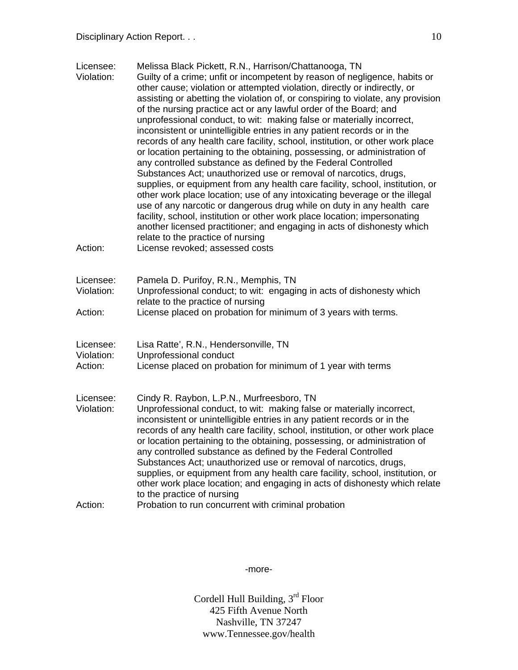| Licensee:<br>Violation:            | Melissa Black Pickett, R.N., Harrison/Chattanooga, TN<br>Guilty of a crime; unfit or incompetent by reason of negligence, habits or<br>other cause; violation or attempted violation, directly or indirectly, or<br>assisting or abetting the violation of, or conspiring to violate, any provision<br>of the nursing practice act or any lawful order of the Board; and<br>unprofessional conduct, to wit: making false or materially incorrect,<br>inconsistent or unintelligible entries in any patient records or in the<br>records of any health care facility, school, institution, or other work place<br>or location pertaining to the obtaining, possessing, or administration of<br>any controlled substance as defined by the Federal Controlled<br>Substances Act; unauthorized use or removal of narcotics, drugs,<br>supplies, or equipment from any health care facility, school, institution, or<br>other work place location; use of any intoxicating beverage or the illegal<br>use of any narcotic or dangerous drug while on duty in any health care<br>facility, school, institution or other work place location; impersonating<br>another licensed practitioner; and engaging in acts of dishonesty which |
|------------------------------------|----------------------------------------------------------------------------------------------------------------------------------------------------------------------------------------------------------------------------------------------------------------------------------------------------------------------------------------------------------------------------------------------------------------------------------------------------------------------------------------------------------------------------------------------------------------------------------------------------------------------------------------------------------------------------------------------------------------------------------------------------------------------------------------------------------------------------------------------------------------------------------------------------------------------------------------------------------------------------------------------------------------------------------------------------------------------------------------------------------------------------------------------------------------------------------------------------------------------------------|
| Action:                            | relate to the practice of nursing<br>License revoked; assessed costs                                                                                                                                                                                                                                                                                                                                                                                                                                                                                                                                                                                                                                                                                                                                                                                                                                                                                                                                                                                                                                                                                                                                                             |
| Licensee:<br>Violation:<br>Action: | Pamela D. Purifoy, R.N., Memphis, TN<br>Unprofessional conduct; to wit: engaging in acts of dishonesty which<br>relate to the practice of nursing<br>License placed on probation for minimum of 3 years with terms.                                                                                                                                                                                                                                                                                                                                                                                                                                                                                                                                                                                                                                                                                                                                                                                                                                                                                                                                                                                                              |
| Licensee:<br>Violation:<br>Action: | Lisa Ratte', R.N., Hendersonville, TN<br>Unprofessional conduct<br>License placed on probation for minimum of 1 year with terms                                                                                                                                                                                                                                                                                                                                                                                                                                                                                                                                                                                                                                                                                                                                                                                                                                                                                                                                                                                                                                                                                                  |
| Licensee:<br>Violation:            | Cindy R. Raybon, L.P.N., Murfreesboro, TN<br>Unprofessional conduct, to wit: making false or materially incorrect,<br>inconsistent or unintelligible entries in any patient records or in the<br>records of any health care facility, school, institution, or other work place<br>or location pertaining to the obtaining, possessing, or administration of<br>any controlled substance as defined by the Federal Controlled<br>Substances Act; unauthorized use or removal of narcotics, drugs,<br>supplies, or equipment from any health care facility, school, institution, or<br>other work place location; and engaging in acts of dishonesty which relate<br>to the practice of nursing                                                                                                                                                                                                                                                                                                                                                                                                                                                                                                                                    |
| Action:                            | Probation to run concurrent with criminal probation                                                                                                                                                                                                                                                                                                                                                                                                                                                                                                                                                                                                                                                                                                                                                                                                                                                                                                                                                                                                                                                                                                                                                                              |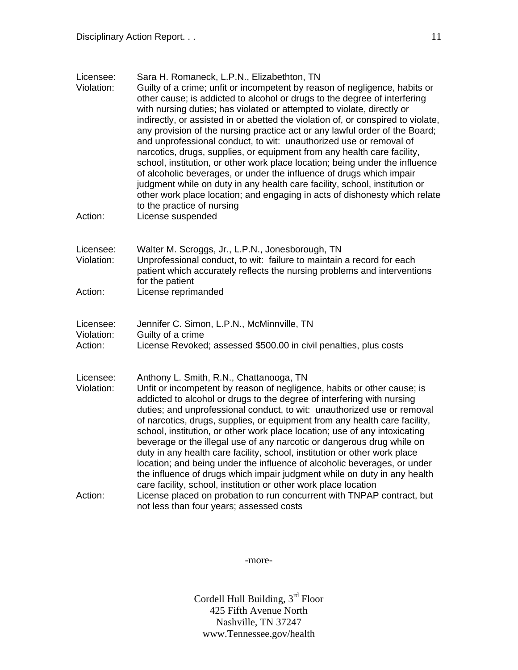| Licensee:<br>Violation:            | Sara H. Romaneck, L.P.N., Elizabethton, TN<br>Guilty of a crime; unfit or incompetent by reason of negligence, habits or<br>other cause; is addicted to alcohol or drugs to the degree of interfering<br>with nursing duties; has violated or attempted to violate, directly or<br>indirectly, or assisted in or abetted the violation of, or conspired to violate,<br>any provision of the nursing practice act or any lawful order of the Board;<br>and unprofessional conduct, to wit: unauthorized use or removal of<br>narcotics, drugs, supplies, or equipment from any health care facility,<br>school, institution, or other work place location; being under the influence<br>of alcoholic beverages, or under the influence of drugs which impair<br>judgment while on duty in any health care facility, school, institution or<br>other work place location; and engaging in acts of dishonesty which relate<br>to the practice of nursing |
|------------------------------------|-------------------------------------------------------------------------------------------------------------------------------------------------------------------------------------------------------------------------------------------------------------------------------------------------------------------------------------------------------------------------------------------------------------------------------------------------------------------------------------------------------------------------------------------------------------------------------------------------------------------------------------------------------------------------------------------------------------------------------------------------------------------------------------------------------------------------------------------------------------------------------------------------------------------------------------------------------|
| Action:                            | License suspended                                                                                                                                                                                                                                                                                                                                                                                                                                                                                                                                                                                                                                                                                                                                                                                                                                                                                                                                     |
| Licensee:<br>Violation:            | Walter M. Scroggs, Jr., L.P.N., Jonesborough, TN<br>Unprofessional conduct, to wit: failure to maintain a record for each<br>patient which accurately reflects the nursing problems and interventions<br>for the patient                                                                                                                                                                                                                                                                                                                                                                                                                                                                                                                                                                                                                                                                                                                              |
| Action:                            | License reprimanded                                                                                                                                                                                                                                                                                                                                                                                                                                                                                                                                                                                                                                                                                                                                                                                                                                                                                                                                   |
| Licensee:<br>Violation:<br>Action: | Jennifer C. Simon, L.P.N., McMinnville, TN<br>Guilty of a crime<br>License Revoked; assessed \$500.00 in civil penalties, plus costs                                                                                                                                                                                                                                                                                                                                                                                                                                                                                                                                                                                                                                                                                                                                                                                                                  |
| Licensee:<br>Violation:            | Anthony L. Smith, R.N., Chattanooga, TN<br>Unfit or incompetent by reason of negligence, habits or other cause; is<br>addicted to alcohol or drugs to the degree of interfering with nursing<br>duties; and unprofessional conduct, to wit: unauthorized use or removal<br>of narcotics, drugs, supplies, or equipment from any health care facility,<br>school, institution, or other work place location; use of any intoxicating<br>beverage or the illegal use of any narcotic or dangerous drug while on<br>duty in any health care facility, school, institution or other work place<br>location; and being under the influence of alcoholic beverages, or under<br>the influence of drugs which impair judgment while on duty in any health<br>care facility, school, institution or other work place location                                                                                                                                 |
| Action:                            | License placed on probation to run concurrent with TNPAP contract, but<br>not less than four years; assessed costs                                                                                                                                                                                                                                                                                                                                                                                                                                                                                                                                                                                                                                                                                                                                                                                                                                    |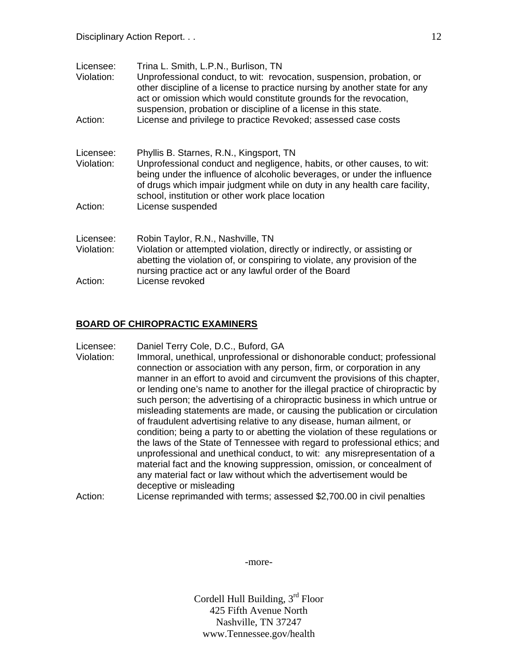| Licensee:<br>Violation: | Trina L. Smith, L.P.N., Burlison, TN<br>Unprofessional conduct, to wit: revocation, suspension, probation, or<br>other discipline of a license to practice nursing by another state for any<br>act or omission which would constitute grounds for the revocation,<br>suspension, probation or discipline of a license in this state. |
|-------------------------|--------------------------------------------------------------------------------------------------------------------------------------------------------------------------------------------------------------------------------------------------------------------------------------------------------------------------------------|
| Action:                 | License and privilege to practice Revoked; assessed case costs                                                                                                                                                                                                                                                                       |
| Licensee:<br>Violation: | Phyllis B. Starnes, R.N., Kingsport, TN<br>Unprofessional conduct and negligence, habits, or other causes, to wit:<br>being under the influence of alcoholic beverages, or under the influence<br>of drugs which impair judgment while on duty in any health care facility,<br>school, institution or other work place location      |
| Action:                 | License suspended                                                                                                                                                                                                                                                                                                                    |
| Licensee:<br>Violation: | Robin Taylor, R.N., Nashville, TN<br>Violation or attempted violation, directly or indirectly, or assisting or<br>abetting the violation of, or conspiring to violate, any provision of the<br>nursing practice act or any lawful order of the Board                                                                                 |
| Action:                 | License revoked                                                                                                                                                                                                                                                                                                                      |

#### **BOARD OF CHIROPRACTIC EXAMINERS**

Licensee: Daniel Terry Cole, D.C., Buford, GA

Violation: Immoral, unethical, unprofessional or dishonorable conduct; professional connection or association with any person, firm, or corporation in any manner in an effort to avoid and circumvent the provisions of this chapter, or lending one's name to another for the illegal practice of chiropractic by such person; the advertising of a chiropractic business in which untrue or misleading statements are made, or causing the publication or circulation of fraudulent advertising relative to any disease, human ailment, or condition; being a party to or abetting the violation of these regulations or the laws of the State of Tennessee with regard to professional ethics; and unprofessional and unethical conduct, to wit: any misrepresentation of a material fact and the knowing suppression, omission, or concealment of any material fact or law without which the advertisement would be deceptive or misleading

Action: License reprimanded with terms; assessed \$2,700.00 in civil penalties

-more-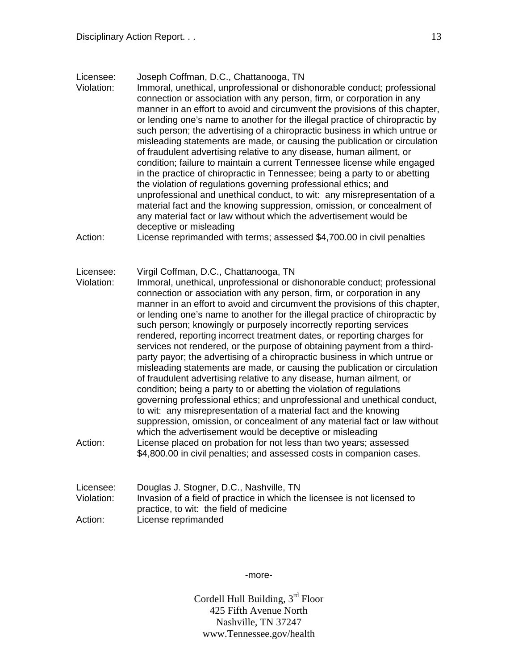Licensee: Joseph Coffman, D.C., Chattanooga, TN

Violation: Immoral, unethical, unprofessional or dishonorable conduct; professional connection or association with any person, firm, or corporation in any manner in an effort to avoid and circumvent the provisions of this chapter, or lending one's name to another for the illegal practice of chiropractic by such person; the advertising of a chiropractic business in which untrue or misleading statements are made, or causing the publication or circulation of fraudulent advertising relative to any disease, human ailment, or condition; failure to maintain a current Tennessee license while engaged in the practice of chiropractic in Tennessee; being a party to or abetting the violation of regulations governing professional ethics; and unprofessional and unethical conduct, to wit: any misrepresentation of a material fact and the knowing suppression, omission, or concealment of any material fact or law without which the advertisement would be deceptive or misleading

Action: License reprimanded with terms; assessed \$4,700.00 in civil penalties

Licensee: Virgil Coffman, D.C., Chattanooga, TN

Violation: Immoral, unethical, unprofessional or dishonorable conduct; professional connection or association with any person, firm, or corporation in any manner in an effort to avoid and circumvent the provisions of this chapter, or lending one's name to another for the illegal practice of chiropractic by such person; knowingly or purposely incorrectly reporting services rendered, reporting incorrect treatment dates, or reporting charges for services not rendered, or the purpose of obtaining payment from a thirdparty payor; the advertising of a chiropractic business in which untrue or misleading statements are made, or causing the publication or circulation of fraudulent advertising relative to any disease, human ailment, or condition; being a party to or abetting the violation of regulations governing professional ethics; and unprofessional and unethical conduct, to wit: any misrepresentation of a material fact and the knowing suppression, omission, or concealment of any material fact or law without which the advertisement would be deceptive or misleading Action: License placed on probation for not less than two years; assessed \$4,800.00 in civil penalties; and assessed costs in companion cases.

| Licensee:  | Douglas J. Stogner, D.C., Nashville, TN                                  |
|------------|--------------------------------------------------------------------------|
| Violation: | Invasion of a field of practice in which the licensee is not licensed to |
|            | practice, to wit: the field of medicine                                  |
| Action:    | License reprimanded                                                      |

-more-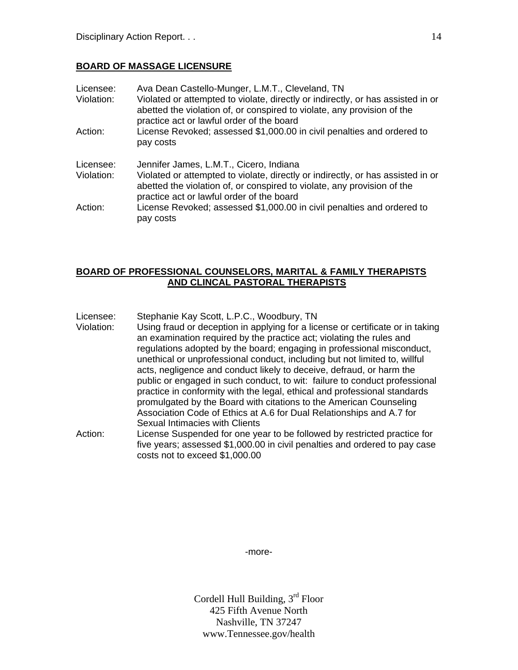### **BOARD OF MASSAGE LICENSURE**

| Licensee:<br>Violation: | Ava Dean Castello-Munger, L.M.T., Cleveland, TN<br>Violated or attempted to violate, directly or indirectly, or has assisted in or<br>abetted the violation of, or conspired to violate, any provision of the<br>practice act or lawful order of the board |
|-------------------------|------------------------------------------------------------------------------------------------------------------------------------------------------------------------------------------------------------------------------------------------------------|
| Action:                 | License Revoked; assessed \$1,000.00 in civil penalties and ordered to<br>pay costs                                                                                                                                                                        |
| Licensee:<br>Violation: | Jennifer James, L.M.T., Cicero, Indiana<br>Violated or attempted to violate, directly or indirectly, or has assisted in or<br>abetted the violation of, or conspired to violate, any provision of the<br>practice act or lawful order of the board         |
| Action:                 | License Revoked; assessed \$1,000.00 in civil penalties and ordered to<br>pay costs                                                                                                                                                                        |

### **BOARD OF PROFESSIONAL COUNSELORS, MARITAL & FAMILY THERAPISTS AND CLINCAL PASTORAL THERAPISTS**

Licensee: Stephanie Kay Scott, L.P.C., Woodbury, TN

Violation: Using fraud or deception in applying for a license or certificate or in taking an examination required by the practice act; violating the rules and regulations adopted by the board; engaging in professional misconduct, unethical or unprofessional conduct, including but not limited to, willful acts, negligence and conduct likely to deceive, defraud, or harm the public or engaged in such conduct, to wit: failure to conduct professional practice in conformity with the legal, ethical and professional standards promulgated by the Board with citations to the American Counseling Association Code of Ethics at A.6 for Dual Relationships and A.7 for Sexual Intimacies with Clients

Action: License Suspended for one year to be followed by restricted practice for five years; assessed \$1,000.00 in civil penalties and ordered to pay case costs not to exceed \$1,000.00

-more-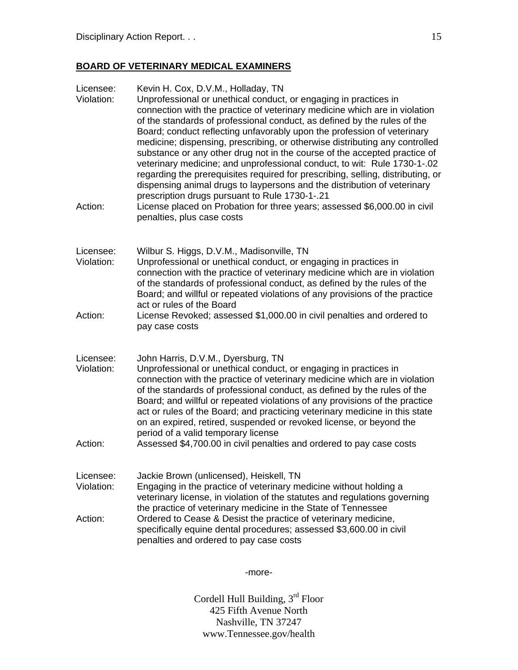# **BOARD OF VETERINARY MEDICAL EXAMINERS**

| Licensee:<br>Violation:<br>Action: | Kevin H. Cox, D.V.M., Holladay, TN<br>Unprofessional or unethical conduct, or engaging in practices in<br>connection with the practice of veterinary medicine which are in violation<br>of the standards of professional conduct, as defined by the rules of the<br>Board; conduct reflecting unfavorably upon the profession of veterinary<br>medicine; dispensing, prescribing, or otherwise distributing any controlled<br>substance or any other drug not in the course of the accepted practice of<br>veterinary medicine; and unprofessional conduct, to wit: Rule 1730-1-.02<br>regarding the prerequisites required for prescribing, selling, distributing, or<br>dispensing animal drugs to laypersons and the distribution of veterinary<br>prescription drugs pursuant to Rule 1730-1-.21<br>License placed on Probation for three years; assessed \$6,000.00 in civil<br>penalties, plus case costs |
|------------------------------------|-----------------------------------------------------------------------------------------------------------------------------------------------------------------------------------------------------------------------------------------------------------------------------------------------------------------------------------------------------------------------------------------------------------------------------------------------------------------------------------------------------------------------------------------------------------------------------------------------------------------------------------------------------------------------------------------------------------------------------------------------------------------------------------------------------------------------------------------------------------------------------------------------------------------|
| Licensee:<br>Violation:            | Wilbur S. Higgs, D.V.M., Madisonville, TN<br>Unprofessional or unethical conduct, or engaging in practices in<br>connection with the practice of veterinary medicine which are in violation<br>of the standards of professional conduct, as defined by the rules of the<br>Board; and willful or repeated violations of any provisions of the practice<br>act or rules of the Board                                                                                                                                                                                                                                                                                                                                                                                                                                                                                                                             |
| Action:                            | License Revoked; assessed \$1,000.00 in civil penalties and ordered to<br>pay case costs                                                                                                                                                                                                                                                                                                                                                                                                                                                                                                                                                                                                                                                                                                                                                                                                                        |
| Licensee:<br>Violation:<br>Action: | John Harris, D.V.M., Dyersburg, TN<br>Unprofessional or unethical conduct, or engaging in practices in<br>connection with the practice of veterinary medicine which are in violation<br>of the standards of professional conduct, as defined by the rules of the<br>Board; and willful or repeated violations of any provisions of the practice<br>act or rules of the Board; and practicing veterinary medicine in this state<br>on an expired, retired, suspended or revoked license, or beyond the<br>period of a valid temporary license<br>Assessed \$4,700.00 in civil penalties and ordered to pay case costs                                                                                                                                                                                                                                                                                            |
|                                    |                                                                                                                                                                                                                                                                                                                                                                                                                                                                                                                                                                                                                                                                                                                                                                                                                                                                                                                 |
| Licensee:<br>Violation:            | Jackie Brown (unlicensed), Heiskell, TN<br>Engaging in the practice of veterinary medicine without holding a<br>veterinary license, in violation of the statutes and regulations governing<br>the practice of veterinary medicine in the State of Tennessee                                                                                                                                                                                                                                                                                                                                                                                                                                                                                                                                                                                                                                                     |
| Action:                            | Ordered to Cease & Desist the practice of veterinary medicine,<br>specifically equine dental procedures; assessed \$3,600.00 in civil<br>penalties and ordered to pay case costs                                                                                                                                                                                                                                                                                                                                                                                                                                                                                                                                                                                                                                                                                                                                |

-more-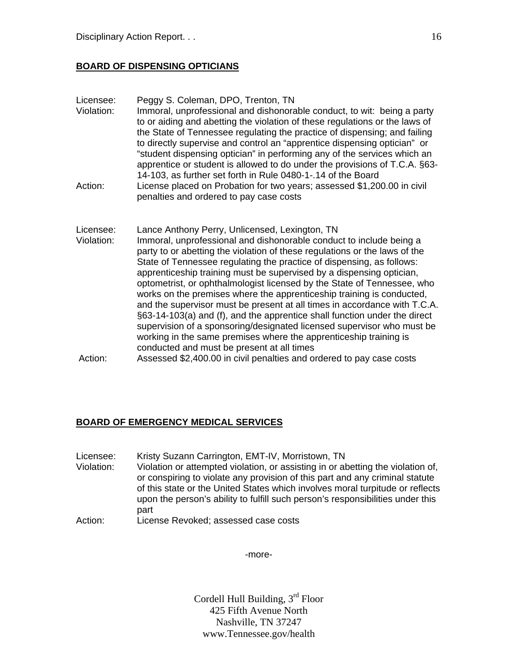### **BOARD OF DISPENSING OPTICIANS**

| Licensee:<br>Violation:<br>Action: | Peggy S. Coleman, DPO, Trenton, TN<br>Immoral, unprofessional and dishonorable conduct, to wit: being a party<br>to or aiding and abetting the violation of these regulations or the laws of<br>the State of Tennessee regulating the practice of dispensing; and failing<br>to directly supervise and control an "apprentice dispensing optician" or<br>"student dispensing optician" in performing any of the services which an<br>apprentice or student is allowed to do under the provisions of T.C.A. §63-<br>14-103, as further set forth in Rule 0480-1-.14 of the Board<br>License placed on Probation for two years; assessed \$1,200.00 in civil<br>penalties and ordered to pay case costs                                                                                                                                                           |
|------------------------------------|-----------------------------------------------------------------------------------------------------------------------------------------------------------------------------------------------------------------------------------------------------------------------------------------------------------------------------------------------------------------------------------------------------------------------------------------------------------------------------------------------------------------------------------------------------------------------------------------------------------------------------------------------------------------------------------------------------------------------------------------------------------------------------------------------------------------------------------------------------------------|
| Licensee:<br>Violation:            | Lance Anthony Perry, Unlicensed, Lexington, TN<br>Immoral, unprofessional and dishonorable conduct to include being a<br>party to or abetting the violation of these regulations or the laws of the<br>State of Tennessee regulating the practice of dispensing, as follows:<br>apprenticeship training must be supervised by a dispensing optician,<br>optometrist, or ophthalmologist licensed by the State of Tennessee, who<br>works on the premises where the apprenticeship training is conducted,<br>and the supervisor must be present at all times in accordance with T.C.A.<br>§63-14-103(a) and (f), and the apprentice shall function under the direct<br>supervision of a sponsoring/designated licensed supervisor who must be<br>working in the same premises where the apprenticeship training is<br>conducted and must be present at all times |
| Action:                            | Assessed \$2,400.00 in civil penalties and ordered to pay case costs                                                                                                                                                                                                                                                                                                                                                                                                                                                                                                                                                                                                                                                                                                                                                                                            |

## **BOARD OF EMERGENCY MEDICAL SERVICES**

Licensee: Kristy Suzann Carrington, EMT-IV, Morristown, TN<br>Violation: Violation or attempted violation, or assisting in or at Violation or attempted violation, or assisting in or abetting the violation of, or conspiring to violate any provision of this part and any criminal statute of this state or the United States which involves moral turpitude or reflects upon the person's ability to fulfill such person's responsibilities under this part Action: License Revoked; assessed case costs

-more-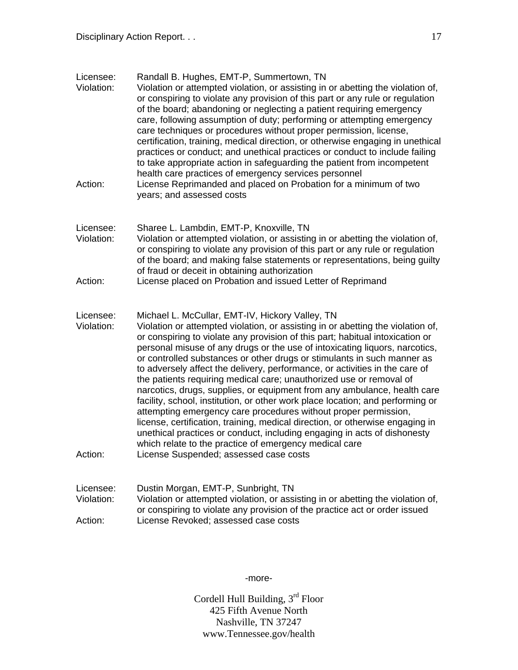| Licensee:<br>Violation:<br>Action: | Randall B. Hughes, EMT-P, Summertown, TN<br>Violation or attempted violation, or assisting in or abetting the violation of,<br>or conspiring to violate any provision of this part or any rule or regulation<br>of the board; abandoning or neglecting a patient requiring emergency<br>care, following assumption of duty; performing or attempting emergency<br>care techniques or procedures without proper permission, license,<br>certification, training, medical direction, or otherwise engaging in unethical<br>practices or conduct; and unethical practices or conduct to include failing<br>to take appropriate action in safeguarding the patient from incompetent<br>health care practices of emergency services personnel<br>License Reprimanded and placed on Probation for a minimum of two<br>years; and assessed costs                                                                                                                                                                                             |
|------------------------------------|---------------------------------------------------------------------------------------------------------------------------------------------------------------------------------------------------------------------------------------------------------------------------------------------------------------------------------------------------------------------------------------------------------------------------------------------------------------------------------------------------------------------------------------------------------------------------------------------------------------------------------------------------------------------------------------------------------------------------------------------------------------------------------------------------------------------------------------------------------------------------------------------------------------------------------------------------------------------------------------------------------------------------------------|
| Licensee:<br>Violation:<br>Action: | Sharee L. Lambdin, EMT-P, Knoxville, TN<br>Violation or attempted violation, or assisting in or abetting the violation of,<br>or conspiring to violate any provision of this part or any rule or regulation<br>of the board; and making false statements or representations, being guilty<br>of fraud or deceit in obtaining authorization<br>License placed on Probation and issued Letter of Reprimand                                                                                                                                                                                                                                                                                                                                                                                                                                                                                                                                                                                                                              |
| Licensee:<br>Violation:<br>Action: | Michael L. McCullar, EMT-IV, Hickory Valley, TN<br>Violation or attempted violation, or assisting in or abetting the violation of,<br>or conspiring to violate any provision of this part; habitual intoxication or<br>personal misuse of any drugs or the use of intoxicating liquors, narcotics,<br>or controlled substances or other drugs or stimulants in such manner as<br>to adversely affect the delivery, performance, or activities in the care of<br>the patients requiring medical care; unauthorized use or removal of<br>narcotics, drugs, supplies, or equipment from any ambulance, health care<br>facility, school, institution, or other work place location; and performing or<br>attempting emergency care procedures without proper permission,<br>license, certification, training, medical direction, or otherwise engaging in<br>unethical practices or conduct, including engaging in acts of dishonesty<br>which relate to the practice of emergency medical care<br>License Suspended; assessed case costs |
| Licensee:<br>Violation:<br>Action: | Dustin Morgan, EMT-P, Sunbright, TN<br>Violation or attempted violation, or assisting in or abetting the violation of,<br>or conspiring to violate any provision of the practice act or order issued<br>License Revoked; assessed case costs                                                                                                                                                                                                                                                                                                                                                                                                                                                                                                                                                                                                                                                                                                                                                                                          |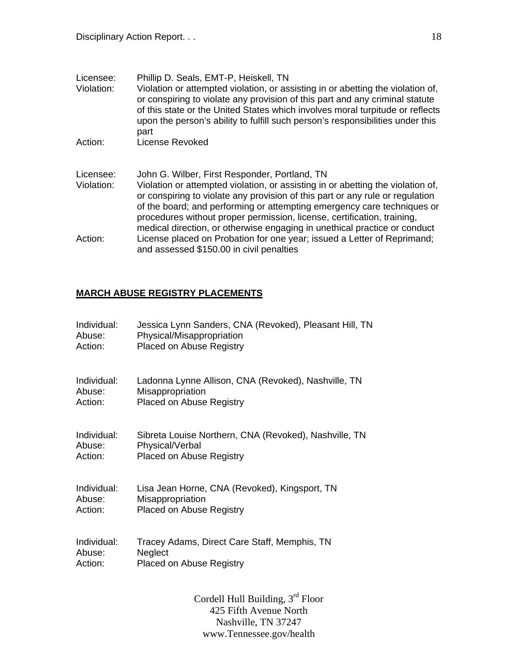| Licensee:  | Phillip D. Seals, EMT-P, Heiskell, TN                                                                                                                                                                                                                                                                                                                                                               |
|------------|-----------------------------------------------------------------------------------------------------------------------------------------------------------------------------------------------------------------------------------------------------------------------------------------------------------------------------------------------------------------------------------------------------|
| Violation: | Violation or attempted violation, or assisting in or abetting the violation of,<br>or conspiring to violate any provision of this part and any criminal statute<br>of this state or the United States which involves moral turpitude or reflects<br>upon the person's ability to fulfill such person's responsibilities under this<br>part                                                          |
| Action:    | License Revoked                                                                                                                                                                                                                                                                                                                                                                                     |
|            |                                                                                                                                                                                                                                                                                                                                                                                                     |
| Licensee:  | John G. Wilber, First Responder, Portland, TN                                                                                                                                                                                                                                                                                                                                                       |
| Violation: | Violation or attempted violation, or assisting in or abetting the violation of,<br>or conspiring to violate any provision of this part or any rule or regulation<br>of the board; and performing or attempting emergency care techniques or<br>procedures without proper permission, license, certification, training,<br>medical direction, or otherwise engaging in unethical practice or conduct |
| Action:    | License placed on Probation for one year; issued a Letter of Reprimand;<br>and assessed \$150.00 in civil penalties                                                                                                                                                                                                                                                                                 |

## **MARCH ABUSE REGISTRY PLACEMENTS**

| Individual: | Jessica Lynn Sanders, CNA (Revoked), Pleasant Hill, TN |
|-------------|--------------------------------------------------------|
| Abuse:      | Physical/Misappropriation                              |
| Action:     | <b>Placed on Abuse Registry</b>                        |
| Individual: | Ladonna Lynne Allison, CNA (Revoked), Nashville, TN    |
| Abuse:      | Misappropriation                                       |
| Action:     | <b>Placed on Abuse Registry</b>                        |
| Individual: | Sibreta Louise Northern, CNA (Revoked), Nashville, TN  |
| Abuse:      | Physical/Verbal                                        |
| Action:     | <b>Placed on Abuse Registry</b>                        |
| Individual: | Lisa Jean Horne, CNA (Revoked), Kingsport, TN          |
| Abuse:      | Misappropriation                                       |
| Action:     | <b>Placed on Abuse Registry</b>                        |
| Individual: | Tracey Adams, Direct Care Staff, Memphis, TN           |
| Abuse:      | Neglect                                                |
| Action:     | <b>Placed on Abuse Registry</b>                        |
|             | Cordell Hull Building, 3 <sup>rd</sup> Floor           |

425 Fifth Avenue North Nashville, TN 37247 www.Tennessee.gov/health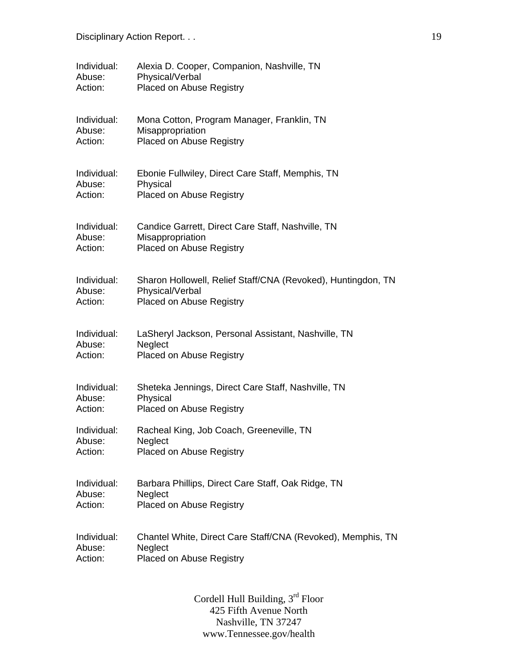| Individual: | Alexia D. Cooper, Companion, Nashville, TN                   |
|-------------|--------------------------------------------------------------|
| Abuse:      | Physical/Verbal                                              |
| Action:     | Placed on Abuse Registry                                     |
| Individual: | Mona Cotton, Program Manager, Franklin, TN                   |
| Abuse:      | Misappropriation                                             |
| Action:     | <b>Placed on Abuse Registry</b>                              |
| Individual: | Ebonie Fullwiley, Direct Care Staff, Memphis, TN             |
| Abuse:      | Physical                                                     |
| Action:     | Placed on Abuse Registry                                     |
| Individual: | Candice Garrett, Direct Care Staff, Nashville, TN            |
| Abuse:      | Misappropriation                                             |
| Action:     | <b>Placed on Abuse Registry</b>                              |
| Individual: | Sharon Hollowell, Relief Staff/CNA (Revoked), Huntingdon, TN |
| Abuse:      | Physical/Verbal                                              |
| Action:     | <b>Placed on Abuse Registry</b>                              |
| Individual: | LaSheryl Jackson, Personal Assistant, Nashville, TN          |
| Abuse:      | Neglect                                                      |
| Action:     | <b>Placed on Abuse Registry</b>                              |
| Individual: | Sheteka Jennings, Direct Care Staff, Nashville, TN           |
| Abuse:      | Physical                                                     |
| Action:     | Placed on Abuse Registry                                     |
| Individual: | Racheal King, Job Coach, Greeneville, TN                     |
| Abuse:      | Neglect                                                      |
| Action:     | <b>Placed on Abuse Registry</b>                              |
| Individual: | Barbara Phillips, Direct Care Staff, Oak Ridge, TN           |
| Abuse:      | Neglect                                                      |
| Action:     | Placed on Abuse Registry                                     |
| Individual: | Chantel White, Direct Care Staff/CNA (Revoked), Memphis, TN  |
| Abuse:      | Neglect                                                      |
| Action:     | <b>Placed on Abuse Registry</b>                              |
|             | Cordell Hull Building, 3rd Floor                             |

425 Fifth Avenue North Nashville, TN 37247 www.Tennessee.gov/health